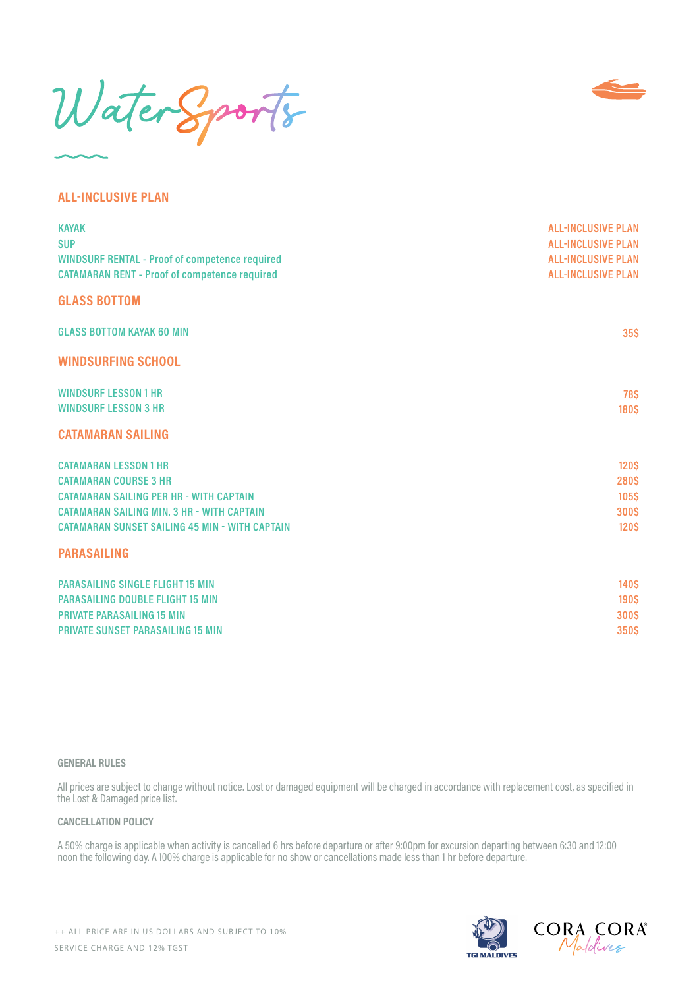WaterSports



# **ALL-INCLUSIVE PLAN**

| <b>KAYAK</b><br><b>SUP</b><br><b>WINDSURF RENTAL - Proof of competence required</b><br><b>CATAMARAN RENT - Proof of competence required</b>                                                                                  | <b>ALL-INCLUSIVE PLAN</b><br><b>ALL-INCLUSIVE PLAN</b><br><b>ALL-INCLUSIVE PLAN</b><br><b>ALL-INCLUSIVE PLAN</b> |
|------------------------------------------------------------------------------------------------------------------------------------------------------------------------------------------------------------------------------|------------------------------------------------------------------------------------------------------------------|
| <b>GLASS BOTTOM</b>                                                                                                                                                                                                          |                                                                                                                  |
| <b>GLASS BOTTOM KAYAK 60 MIN</b>                                                                                                                                                                                             | 35S                                                                                                              |
| <b>WINDSURFING SCHOOL</b>                                                                                                                                                                                                    |                                                                                                                  |
| <b>WINDSURF LESSON 1 HR</b><br><b>WINDSURF LESSON 3 HR</b>                                                                                                                                                                   | <b>78\$</b><br><b>180\$</b>                                                                                      |
| <b>CATAMARAN SAILING</b>                                                                                                                                                                                                     |                                                                                                                  |
| <b>CATAMARAN LESSON 1 HR</b><br><b>CATAMARAN COURSE 3 HR</b><br><b>CATAMARAN SAILING PER HR - WITH CAPTAIN</b><br><b>CATAMARAN SAILING MIN. 3 HR - WITH CAPTAIN</b><br><b>CATAMARAN SUNSET SAILING 45 MIN - WITH CAPTAIN</b> | <b>120\$</b><br><b>280S</b><br><b>105S</b><br><b>300S</b><br><b>120S</b>                                         |
| <b>PARASAILING</b>                                                                                                                                                                                                           |                                                                                                                  |
| <b>PARASAILING SINGLE FLIGHT 15 MIN</b><br><b>PARASAILING DOUBLE FLIGHT 15 MIN</b><br><b>PRIVATE PARASAILING 15 MIN</b><br><b>PRIVATE SUNSET PARASAILING 15 MIN</b>                                                          | <b>140\$</b><br><b>190\$</b><br><b>300S</b><br>350S                                                              |

### **GENERAL RULES**

All prices are subject to change without notice. Lost or damaged equipment will be charged in accordance with replacement cost, as specified in the Lost & Damaged price list.

#### **CANCELLATION POLICY**

A 50% charge is applicable when activity is cancelled 6 hrs before departure or after 9:00pm for excursion departing between 6:30 and 12:00 noon the following day. A 100% charge is applicable for no show or cancellations made less than 1 hr before departure.